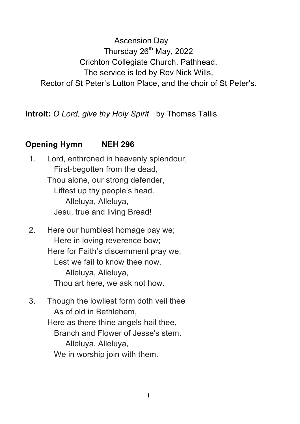Ascension Day Thursday  $26<sup>th</sup>$  May, 2022 Crichton Collegiate Church, Pathhead. The service is led by Rev Nick Wills, Rector of St Peter's Lutton Place, and the choir of St Peter's.

**Introit:** *O Lord, give thy Holy Spirit* by Thomas Tallis

## **Opening Hymn NEH 296**

- 1. Lord, enthroned in heavenly splendour, First-begotten from the dead, Thou alone, our strong defender, Liftest up thy people's head. Alleluya, Alleluya, Jesu, true and living Bread!
- 2. Here our humblest homage pay we; Here in loving reverence bow; Here for Faith's discernment pray we, Lest we fail to know thee now. Alleluya, Alleluya, Thou art here, we ask not how.
- 3. Though the lowliest form doth veil thee As of old in Bethlehem, Here as there thine angels hail thee, Branch and Flower of Jesse's stem. Alleluya, Alleluya, We in worship join with them.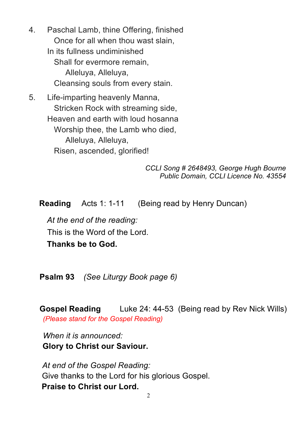4. Paschal Lamb, thine Offering, finished Once for all when thou wast slain, In its fullness undiminished Shall for evermore remain, Alleluya, Alleluya, Cleansing souls from every stain.

5. Life-imparting heavenly Manna, Stricken Rock with streaming side, Heaven and earth with loud hosanna Worship thee, the Lamb who died, Alleluya, Alleluya, Risen, ascended, glorified!

> *CCLI Song # 2648493, George Hugh Bourne Public Domain, CCLI Licence No. 43554*

**Reading** Acts 1: 1-11 (Being read by Henry Duncan)

*At the end of the reading:*  This is the Word of the Lord. **Thanks be to God.**

**Psalm 93** *(See Liturgy Book page 6)*

**Gospel Reading** Luke 24: 44-53 (Being read by Rev Nick Wills) *(Please stand for the Gospel Reading)*

*When it is announced:* **Glory to Christ our Saviour.**

*At end of the Gospel Reading:* Give thanks to the Lord for his glorious Gospel. **Praise to Christ our Lord.**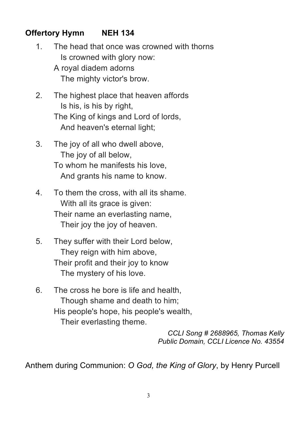## **Offertory Hymn NEH 134**

- 1. The head that once was crowned with thorns Is crowned with glory now:
	- A royal diadem adorns The mighty victor's brow.
- 2. The highest place that heaven affords Is his, is his by right, The King of kings and Lord of lords, And heaven's eternal light;
- 3. The joy of all who dwell above, The joy of all below, To whom he manifests his love, And grants his name to know.
- 4. To them the cross, with all its shame. With all its grace is given: Their name an everlasting name, Their joy the joy of heaven.
- 5. They suffer with their Lord below, They reign with him above, Their profit and their joy to know The mystery of his love.
- 6. The cross he bore is life and health, Though shame and death to him; His people's hope, his people's wealth, Their everlasting theme.

*CCLI Song # 2688965, Thomas Kelly Public Domain, CCLI Licence No. 43554*

Anthem during Communion: *O God, the King of Glory*, by Henry Purcell